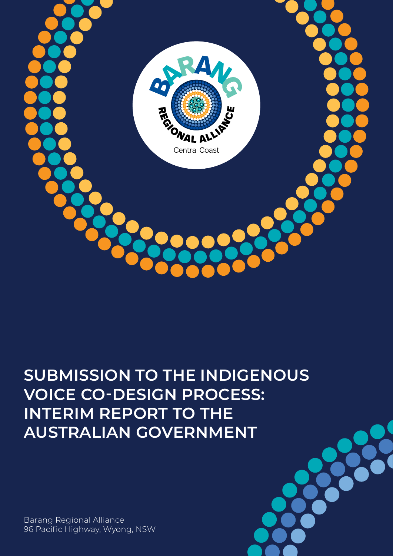

# **SUBMISSION TO THE INDIGENOUS VOICE CO-DESIGN PROCESS: INTERIM REPORT TO THE AUSTRALIAN GOVERNMENT**

Barang Regional Alliance 96 Pacific Highway, Wyong, NSW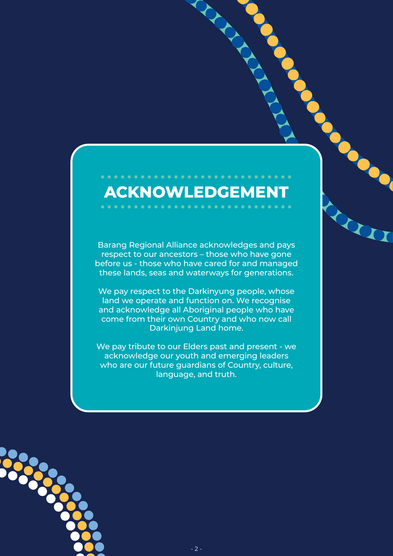# **ACKNOWLEDGEMENT**

. . . . . . . . . . . . . . . . . .

RIVER

Ò

Barang Regional Alliance acknowledges and pays respect to our ancestors – those who have gone before us - those who have cared for and managed these lands, seas and waterways for generations.

We pay respect to the Darkinyung people, whose land we operate and function on. We recognise and acknowledge all Aboriginal people who have come from their own Country and who now call Darkinjung Land home.

We pay tribute to our Elders past and present - we acknowledge our youth and emerging leaders who are our future guardians of Country, culture, language, and truth.

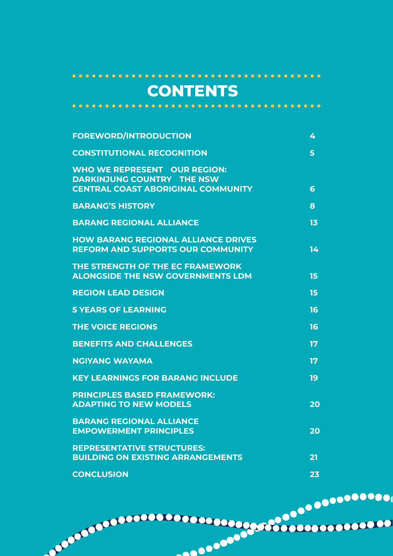## **CONTENTS**

 $\bullet\bullet$ 

| <b>FOREWORD/INTRODUCTION</b>                                                                                          | 4               |
|-----------------------------------------------------------------------------------------------------------------------|-----------------|
| <b>CONSTITUTIONAL RECOGNITION</b>                                                                                     | 5               |
| <b>WHO WE REPRESENT OUR REGION:</b><br><b>DARKINJUNG COUNTRY THE NSW</b><br><b>CENTRAL COAST ABORIGINAL COMMUNITY</b> | $6\phantom{1}6$ |
| <b>BARANG'S HISTORY</b>                                                                                               | 8               |
| <b>BARANG REGIONAL ALLIANCE</b>                                                                                       | 13              |
| <b>HOW BARANG REGIONAL ALLIANCE DRIVES</b><br><b>REFORM AND SUPPORTS OUR COMMUNITY</b>                                | 14 <sub>1</sub> |
| THE STRENGTH OF THE EC FRAMEWORK<br><b>ALONGSIDE THE NSW GOVERNMENTS LDM</b>                                          | 15              |
| <b>REGION LEAD DESIGN</b>                                                                                             | 15              |
| <b>5 YEARS OF LEARNING</b>                                                                                            | 16              |
| <b>THE VOICE REGIONS</b>                                                                                              | 16              |
| <b>BENEFITS AND CHALLENGES</b>                                                                                        | 17              |
| <b>NGIYANG WAYAMA</b>                                                                                                 | 17              |
| <b>KEY LEARNINGS FOR BARANG INCLUDE</b>                                                                               | 19              |
| <b>PRINCIPLES BASED FRAMEWORK:</b><br><b>ADAPTING TO NEW MODELS</b>                                                   | 20              |
| <b>BARANG REGIONAL ALLIANCE</b><br><b>EMPOWERMENT PRINCIPLES</b>                                                      | 20              |
| <b>REPRESENTATIVE STRUCTURES:</b><br><b>BUILDING ON EXISTING ARRANGEMENTS</b>                                         | 21              |
| <b>CONCLUSION</b>                                                                                                     | 23              |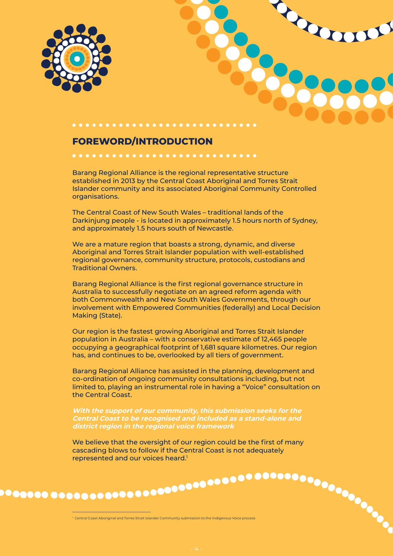<span id="page-3-0"></span>



#### **FOREWORD/INTRODUCTION**

Barang Regional Alliance is the regional representative structure established in 2013 by the Central Coast Aboriginal and Torres Strait Islander community and its associated Aboriginal Community Controlled organisations.

The Central Coast of New South Wales – traditional lands of the Darkinjung people - is located in approximately 1.5 hours north of Sydney, and approximately 1.5 hours south of Newcastle.

We are a mature region that boasts a strong, dynamic, and diverse Aboriginal and Torres Strait Islander population with well-established regional governance, community structure, protocols, custodians and Traditional Owners.

Barang Regional Alliance is the first regional governance structure in Australia to successfully negotiate on an agreed reform agenda with both Commonwealth and New South Wales Governments, through our involvement with Empowered Communities (federally) and Local Decision Making (State).

Our region is the fastest growing Aboriginal and Torres Strait Islander population in Australia – with a conservative estimate of 12,465 people occupying a geographical footprint of 1,681 square kilometres. Our region has, and continues to be, overlooked by all tiers of government.

Barang Regional Alliance has assisted in the planning, development and co-ordination of ongoing community consultations including, but not limited to, playing an instrumental role in having a "Voice" consultation on the Central Coast.

With the support of our community, this submission seeks for the Central Coast to be recognised and included as a stand-alone and  **district region in the regional voice framework**

We believe that the oversight of our region could be the first of many cascading blows to follow if the Central Coast is not adequately represented and our voices heard.<sup>1</sup>

1 Central Coast Aboriginal and Torres Strait Islander Community submission to the Indigenous Voice process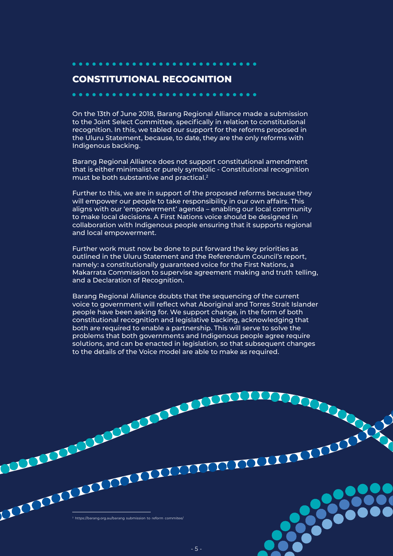<span id="page-4-0"></span>

#### **CONSTITUTIONAL RECOGNITION**

On the 13th of June 2018, Barang Regional Alliance made a submission to the Joint Select Committee, specifically in relation to constitutional recognition. In this, we tabled our support for the reforms proposed in the Uluru Statement, because, to date, they are the only reforms with Indigenous backing.

Barang Regional Alliance does not support constitutional amendment that is either minimalist or purely symbolic - Constitutional recognition must be both substantive and practical.2

Further to this, we are in support of the proposed reforms because they will empower our people to take responsibility in our own affairs. This aligns with our 'empowerment' agenda – enabling our local community to make local decisions. A First Nations voice should be designed in collaboration with Indigenous people ensuring that it supports regional and local empowerment.

- - Makarrata Commission to supervise agreement making and truth telling, Further work must now be done to put forward the key priorities as outlined in the Uluru Statement and the Referendum Council's report, namely: a constitutionally guaranteed voice for the First Nations, a and a Declaration of Recognition.

Barang Regional Alliance doubts that the sequencing of the current voice to government will reflect what Aboriginal and Torres Strait Islander people have been asking for. We support change, in the form of both constitutional recognition and legislative backing, acknowledging that both are required to enable a partnership. This will serve to solve the problems that both governments and Indigenous people agree require solutions, and can be enacted in legislation, so that subsequent changes to the details of the Voice model are able to make as required.

 $^{\rm 2}$  https://barang.org.au/barang submission to reform commitee/

THE REAL PROPERTY OF REAL PROPERTY.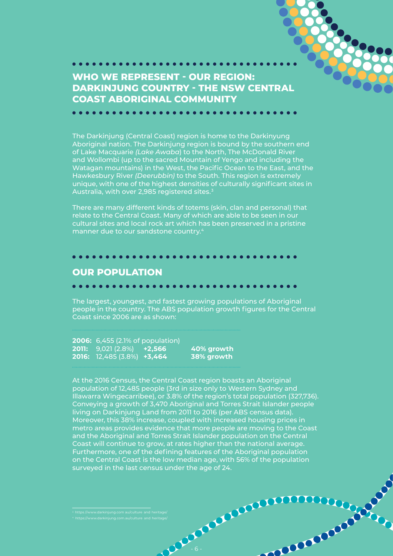

No Company of Company

<span id="page-5-0"></span>**WHO WE REPRESENT - OUR REGION: DARKINJUNG COUNTRY - THE NSW CENTRAL COAST ABORIGINAL COMMUNITY**

**....................** 

The Darkinjung (Central Coast) region is home to the Darkinyung Aboriginal nation. The Darkinjung region is bound by the southern end of Lake Macquarie *(Lake Awaba*) to the North, The McDonald River and Wollombi (up to the sacred Mountain of Yengo and including the Watagan mountains) in the West, the Pacific Ocean to the East, and the Hawkesbury River *(Deerubbin)* to the South. This region is extremely unique, with one of the highest densities of culturally significant sites in Australia, with over 2,985 registered sites.<sup>3</sup>

There are many different kinds of totems (skin, clan and personal) that relate to the Central Coast. Many of which are able to be seen in our cultural sites and local rock art which has been preserved in a pristine manner due to our sandstone country.4

#### **OUR POPULATION**

#### . . . . . . . . . . . . . . . . .

The largest, youngest, and fastest growing populations of Aboriginal people in the country. The ABS population growth figures for the Central Coast since 2006 are as shown:

 **2006:** 6,455 (2.1% of population)  **2011:** 9,021 (2.8%) **+2,566 40% growth 2016:** 12,485 (3.8%) **+3,464 38% growth**

At the 2016 Census, the Central Coast region boasts an Aboriginal population of 12,485 people (3rd in size only to Western Sydney and Illawarra Wingecarribee), or 3.8% of the region's total population (327,736). Conveying a growth of 3,470 Aboriginal and Torres Strait Islander people living on Darkinjung Land from 2011 to 2016 (per ABS census data). Moreover, this 38% increase, coupled with increased housing prices in metro areas provides evidence that more people are moving to the Coast and the Aboriginal and Torres Strait Islander population on the Central Coast will continue to grow, at rates higher than the national average. Furthermore, one of the defining features of the Aboriginal population on the Central Coast is the low median age, with 56% of the population surveyed in the last census under the age of 24.

- 6 -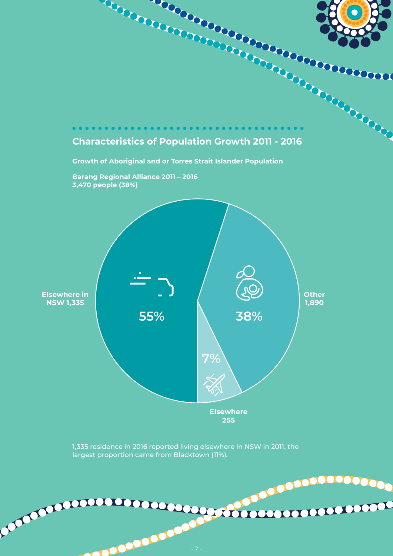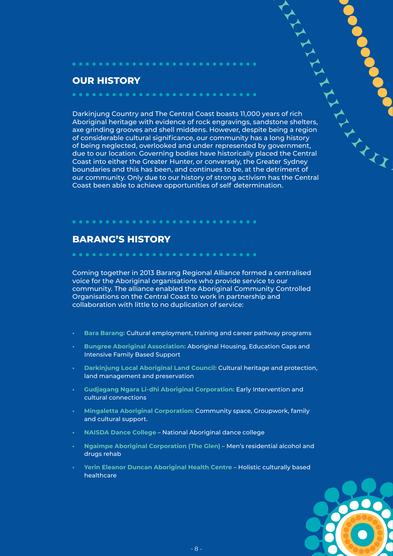#### **OUR HISTORY**

- of being neglected, overlooked and under represented by government, Coast into either the Greater Hunter, or conversely, the Greater Sydney - Coast been able to achieve opportunities of self determination. Darkinjung Country and The Central Coast boasts 11,000 years of rich Aboriginal heritage with evidence of rock engravings, sandstone shelters, axe grinding grooves and shell middens. However, despite being a region of considerable cultural significance, our community has a long history due to our location. Governing bodies have historically placed the Central boundaries and this has been, and continues to be, at the detriment of our community. Only due to our history of strong activism has the Central

<span id="page-7-0"></span>

#### **BARANG'S HISTORY**

Coming together in 2013 Barang Regional Alliance formed a centralised voice for the Aboriginal organisations who provide service to our community. The alliance enabled the Aboriginal Community Controlled Organisations on the Central Coast to work in partnership and collaboration with little to no duplication of service:

- **• Bara Barang:** Cultural employment, training and career pathway programs
- **• Bungree Aboriginal Association:** Aboriginal Housing, Education Gaps and Intensive Family Based Support
- **• Darkinjung Local Aboriginal Land Council:** Cultural heritage and protection, land management and preservation
- **• Gudjagang Ngara Li-dhi Aboriginal Corporation:** Early Intervention and cultural connections
- **• Mingaletta Aboriginal Corporation:** Community space, Groupwork, family and cultural support.
- **• NAISDA Dance College** National Aboriginal dance college
- **• Ngaimpe Aboriginal Corporation (The Glen)** Men's residential alcohol and drugs rehab
- **• Yerin Eleanor Duncan Aboriginal Health Centre** Holistic culturally based healthcare

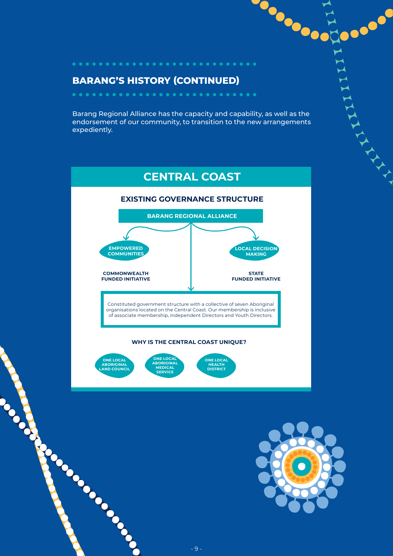#### **BARANG'S HISTORY (CONTINUED)**

............................

Barang Regional Alliance has the capacity and capability, as well as the endorsement of our community, to transition to the new arrangements expediently.



**MEDICAL SERVICE**

**HEALTH DISTRICT**

**ABORIGINAL LAND COUNCIL**





AVAILLE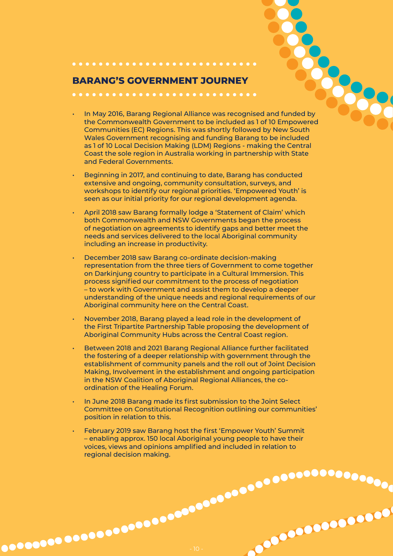#### **BARANG'S GOVERNMENT JOURNEY**

...........................

e a distribution of the May 2016, Barang Regional Alliance was recognised and funded by Communities (EC) Regions. This was shortly followed by New South the Commonwealth Government to be included as 1 of 10 Empowered Wales Government recognising and funding Barang to be included as 1 of 10 Local Decision Making (LDM) Regions - making the Central Coast the sole region in Australia working in partnership with State and Federal Governments.

No Concession Case of

- Beginning in 2017, and continuing to date, Barang has conducted extensive and ongoing, community consultation, surveys, and workshops to identify our regional priorities. 'Empowered Youth' is seen as our initial priority for our regional development agenda.
- April 2018 saw Barang formally lodge a 'Statement of Claim' which both Commonwealth and NSW Governments began the process of negotiation on agreements to identify gaps and better meet the needs and services delivered to the local Aboriginal community including an increase in productivity.
- December 2018 saw Barang co-ordinate decision-making representation from the three tiers of Government to come together on Darkinjung country to participate in a Cultural Immersion. This process signified our commitment to the process of negotiation – to work with Government and assist them to develop a deeper understanding of the unique needs and regional requirements of our Aboriginal community here on the Central Coast.
- November 2018, Barang played a lead role in the development of the First Tripartite Partnership Table proposing the development of Aboriginal Community Hubs across the Central Coast region.
- Between 2018 and 2021 Barang Regional Alliance further facilitated the fostering of a deeper relationship with government through the establishment of community panels and the roll out of Joint Decision Making, Involvement in the establishment and ongoing participation in the NSW Coalition of Aboriginal Regional Alliances, the coordination of the Healing Forum.
- In June 2018 Barang made its first submission to the Joint Select Committee on Constitutional Recognition outlining our communities' position in relation to this.
- February 2019 saw Barang host the first 'Empower Youth' Summit – enabling approx. 150 local Aboriginal young people to have their voices, views and opinions amplified and included in relation to regional decision making.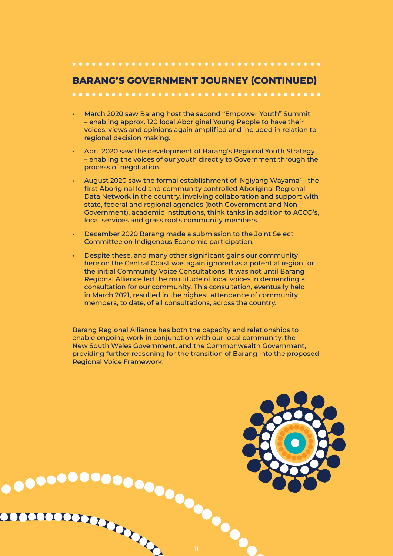#### 

#### **BARANG'S GOVERNMENT JOURNEY (CONTINUED)**

- March 2020 saw Barang host the second "Empower Youth" Summit – enabling approx. 120 local Aboriginal Young People to have their voices, views and opinions again amplified and included in relation to regional decision making.
- April 2020 saw the development of Barang's Regional Youth Strategy – enabling the voices of our youth directly to Government through the process of negotiation.
- August 2020 saw the formal establishment of 'Ngiyang Wayama' the first Aboriginal led and community controlled Aboriginal Regional Data Network in the country, involving collaboration and support with state, federal and regional agencies (both Government and Non-Government), academic institutions, think tanks in addition to ACCO's, local services and grass roots community members.
- December 2020 Barang made a submission to the Joint Select Committee on Indigenous Economic participation.
- Despite these, and many other significant gains our community here on the Central Coast was again ignored as a potential region for the initial Community Voice Consultations. It was not until Barang Regional Alliance led the multitude of local voices in demanding a consultation for our community. This consultation, eventually held in March 2021, resulted in the highest attendance of community members, to date, of all consultations, across the country.

Barang Regional Alliance has both the capacity and relationships to enable ongoing work in conjunction with our local community, the New South Wales Government, and the Commonwealth Government, providing further reasoning for the transition of Barang into the proposed Regional Voice Framework.

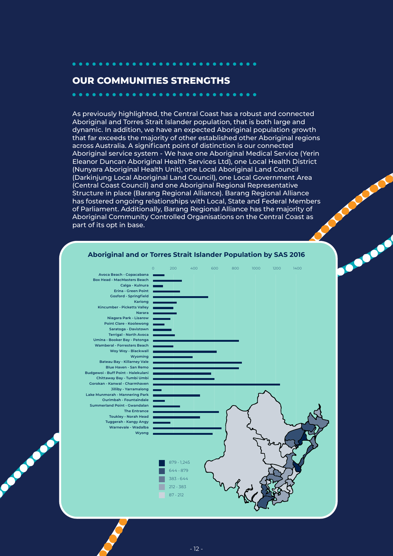#### **OUR COMMUNITIES STRENGTHS**

 $\bullet$ 

 $\bullet\bullet\bullet\bullet$ 

**Property Company** 

As previously highlighted, the Central Coast has a robust and connected Aboriginal and Torres Strait Islander population, that is both large and dynamic. In addition, we have an expected Aboriginal population growth that far exceeds the majority of other established other Aboriginal regions across Australia. A significant point of distinction is our connected Aboriginal service system - We have one Aboriginal Medical Service (Yerin Eleanor Duncan Aboriginal Health Services Ltd), one Local Health District (Nunyara Aboriginal Health Unit), one Local Aboriginal Land Council (Darkinjung Local Aboriginal Land Council), one Local Government Area (Central Coast Council) and one Aboriginal Regional Representative Structure in place (Barang Regional Alliance). Barang Regional Alliance has fostered ongoing relationships with Local, State and Federal Members of Parliament. Additionally, Barang Regional Alliance has the majority of Aboriginal Community Controlled Organisations on the Central Coast as part of its opt in base.

. . . . .



#### **Aboriginal and or Torres Strait Islander Population by SAS 2016**

**POST**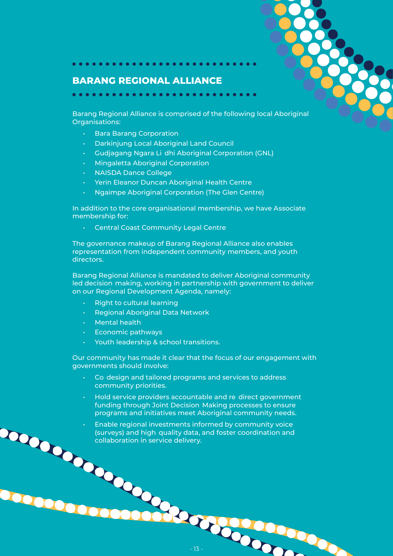#### **BARANG REGIONAL ALLIANCE**

<span id="page-12-0"></span>. . . . . . . . . . . . . . . . . .

Barang Regional Alliance is comprised of the following local Aboriginal Organisations:

- • Bara Barang Corporation
- • Darkinjung Local Aboriginal Land Council
- • Gudjagang Ngara Li dhi Aboriginal Corporation (GNL)
- **Mingaletta Aboriginal Corporation**
- • NAISDA Dance College
- • Yerin Eleanor Duncan Aboriginal Health Centre
- Ngaimpe Aboriginal Corporation (The Glen Centre)

In addition to the core organisational membership, we have Associate membership for:

**Central Coast Community Legal Centre** 

The governance makeup of Barang Regional Alliance also enables representation from independent community members, and youth directors.

Barang Regional Alliance is mandated to deliver Aboriginal community - Barang Regional Alliance is mandated to deliver Aboriginal community led decision making, working in partnership with government to deliver on our Regional Development Agenda, namely:

- **Right to cultural learning**
- **Regional Aboriginal Data Network**
- **Mental health**
- Economic pathways
- Youth leadership & school transitions.

Our community has made it clear that the focus of our engagement with governments should involve:

 - • Co design and tailored programs and services to address community priorities.

- • Hold service providers accountable and re direct government funding through Joint Decision Making processes to ensure programs and initiatives meet Aboriginal community needs.

• Enable regional investments informed by community voice (surveys) and high quality data, and foster coordination and collaboration in service delivery.

**DOOD**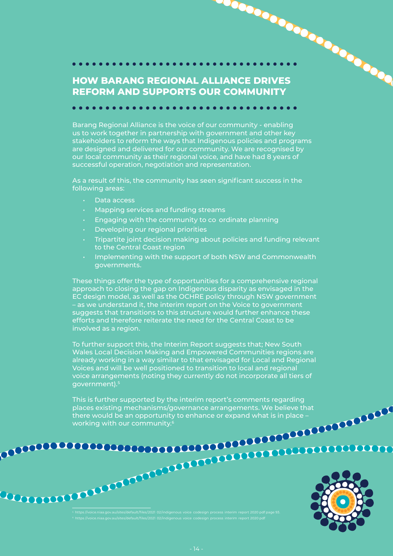<span id="page-13-0"></span>**HOW BARANG REGIONAL ALLIANCE DRIVES REFORM AND SUPPORTS OUR COMMUNITY**

Barang Regional Alliance is the voice of our community - enabling us to work together in partnership with government and other key stakeholders to reform the ways that Indigenous policies and programs are designed and delivered for our community. We are recognised by our local community as their regional voice, and have had 8 years of successful operation, negotiation and representation.

As a result of this, the community has seen significant success in the following areas:

- • Data access
- • Mapping services and funding streams
- • Engaging with the community to co ordinate planning
- Developing our regional priorities
- Tripartite joint decision making about policies and funding relevant to the Central Coast region
- • Implementing with the support of both NSW and Commonwealth governments.

These things offer the type of opportunities for a comprehensive regional approach to closing the gap on Indigenous disparity as envisaged in the EC design model, as well as the OCHRE policy through NSW government – as we understand it, the interim report on the Voice to government suggests that transitions to this structure would further enhance these efforts and therefore reiterate the need for the Central Coast to be involved as a region.

To further support this, the Interim Report suggests that; New South Wales Local Decision Making and Empowered Communities regions are already working in a way similar to that envisaged for Local and Regional Voices and will be well positioned to transition to local and regional voice arrangements (noting they currently do not incorporate all tiers of government).5

This is further supported by the interim report's comments regarding places existing mechanisms/governance arrangements. We believe that there would be an opportunity to enhance or expand what is in place – working with our community.6

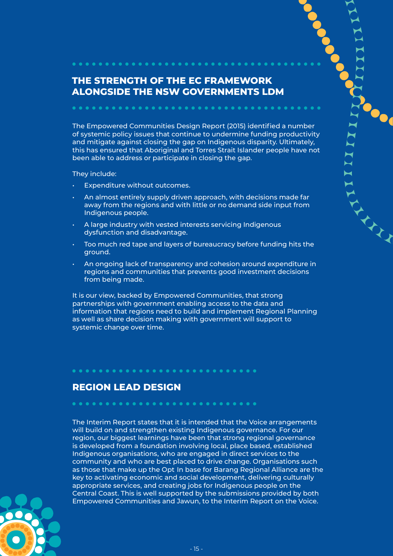### **THE STRENGTH OF THE EC FRAMEWORK ALONGSIDE THE NSW GOVERNMENTS LDM**

<span id="page-14-0"></span>

The Empowered Communities Design Report (2015) identified a number of systemic policy issues that continue to undermine funding productivity and mitigate against closing the gap on Indigenous disparity. Ultimately, this has ensured that Aboriginal and Torres Strait Islander people have not been able to address or participate in closing the gap.

They include:

- Expenditure without outcomes.
- An almost entirely supply driven approach, with decisions made far away from the regions and with little or no demand side input from Indigenous people.
- A large industry with vested interests servicing Indigenous dysfunction and disadvantage.

- Too much red tape and layers of bureaucracy before funding hits the ground.
- An ongoing lack of transparency and cohesion around expenditure in regions and communities that prevents good investment decisions from being made.

It is our view, backed by Empowered Communities, that strong partnerships with government enabling access to the data and information that regions need to build and implement Regional Planning as well as share decision making with government will support to systemic change over time.

#### **REGION LEAD DESIGN**

as those that make up the Opt In base for Barang Regional Alliance are the The Interim Report states that it is intended that the Voice arrangements will build on and strengthen existing Indigenous governance. For our region, our biggest learnings have been that strong regional governance is developed from a foundation involving local, place based, established Indigenous organisations, who are engaged in direct services to the community and who are best placed to drive change. Organisations such key to activating economic and social development, delivering culturally appropriate services, and creating jobs for Indigenous people on the Central Coast. This is well supported by the submissions provided by both Empowered Communities and Jawun, to the Interim Report on the Voice.

. . . . . . . . . . .

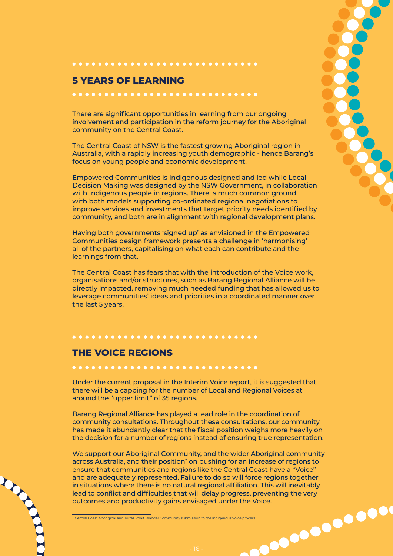#### **5 YEARS OF LEARNING**

There are significant opportunities in learning from our ongoing involvement and participation in the reform journey for the Aboriginal community on the Central Coast.

<span id="page-15-0"></span>............................

The Central Coast of NSW is the fastest growing Aboriginal region in Australia, with a rapidly increasing youth demographic - hence Barang's focus on young people and economic development.

Empowered Communities is Indigenous designed and led while Local Decision Making was designed by the NSW Government, in collaboration with Indigenous people in regions. There is much common ground, with both models supporting co-ordinated regional negotiations to improve services and investments that target priority needs identified by community, and both are in alignment with regional development plans.

Having both governments 'signed up' as envisioned in the Empowered Communities design framework presents a challenge in 'harmonising' all of the partners, capitalising on what each can contribute and the learnings from that.

The Central Coast has fears that with the introduction of the Voice work, organisations and/or structures, such as Barang Regional Alliance will be directly impacted, removing much needed funding that has allowed us to leverage communities' ideas and priorities in a coordinated manner over the last 5 years.

## **THE VOICE REGIONS**

.............................

.............................

Under the current proposal in the Interim Voice report, it is suggested that there will be a capping for the number of Local and Regional Voices at around the "upper limit" of 35 regions.

Barang Regional Alliance has played a lead role in the coordination of community consultations. Throughout these consultations, our community has made it abundantly clear that the fiscal position weighs more heavily on the decision for a number of regions instead of ensuring true representation.

7 Central Coast Aboriginal and Torres Strait Islander Community submission to the Indigenous Voice process outcomes and productivity gains envisaged under the Voice. We support our Aboriginal Community, and the wider Aboriginal community across Australia, and their position<sup>7</sup> on pushing for an increase of regions to ensure that communities and regions like the Central Coast have a "Voice" and are adequately represented. Failure to do so will force regions together in situations where there is no natural regional affiliation. This will inevitably lead to conflict and difficulties that will delay progress, preventing the very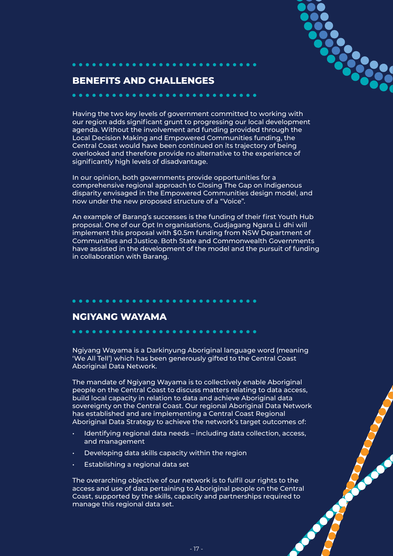

#### <span id="page-16-0"></span>**BENEFITS AND CHALLENGES**

. . . . . . . . .

Having the two key levels of government committed to working with our region adds significant grunt to progressing our local development agenda. Without the involvement and funding provided through the Local Decision Making and Empowered Communities funding, the Central Coast would have been continued on its trajectory of being overlooked and therefore provide no alternative to the experience of significantly high levels of disadvantage.

In our opinion, both governments provide opportunities for a comprehensive regional approach to Closing The Gap on Indigenous disparity envisaged in the Empowered Communities design model, and now under the new proposed structure of a "Voice".

- proposal. One of our Opt In organisations, Gudjagang Ngara Li dhi will An example of Barang's successes is the funding of their first Youth Hub implement this proposal with \$0.5m funding from NSW Department of Communities and Justice. Both State and Commonwealth Governments have assisted in the development of the model and the pursuit of funding in collaboration with Barang.

#### **NGIYANG WAYAMA**

Ngiyang Wayama is a Darkinyung Aboriginal language word (meaning 'We All Tell') which has been generously gifted to the Central Coast Aboriginal Data Network.

The mandate of Ngiyang Wayama is to collectively enable Aboriginal people on the Central Coast to discuss matters relating to data access, build local capacity in relation to data and achieve Aboriginal data sovereignty on the Central Coast. Our regional Aboriginal Data Network has established and are implementing a Central Coast Regional Aboriginal Data Strategy to achieve the network's target outcomes of:

- and management
- Developing data skills capacity within the region

**....................** 

• Establishing a regional data set

Identifying regional data needs – including data collection, access,<br>and management<br>Developing data skills capacity within the region<br>Establishing a regional data set<br>everarching objective of our network is to fulfil our r The overarching objective of our network is to fulfil our rights to the access and use of data pertaining to Aboriginal people on the Central Coast, supported by the skills, capacity and partnerships required to manage this regional data set.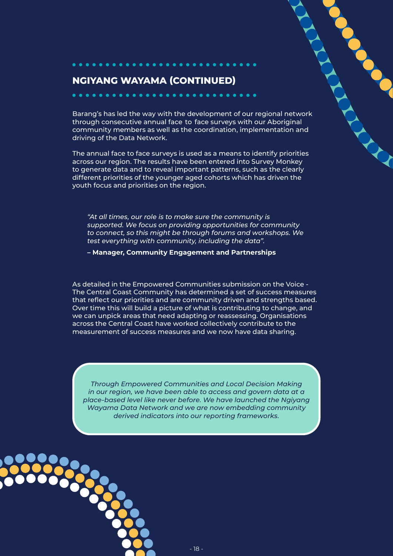#### **NGIYANG WAYAMA (CONTINUED)**

through consecutive annual face to face surveys with our Aboriginal Barang's has led the way with the development of our regional network community members as well as the coordination, implementation and driving of the Data Network.

The annual face to face surveys is used as a means to identify priorities across our region. The results have been entered into Survey Monkey to generate data and to reveal important patterns, such as the clearly different priorities of the younger aged cohorts which has driven the youth focus and priorities on the region.

*"At all times, our role is to make sure the community is supported. We focus on providing opportunities for community to connect, so this might be through forums and workshops. We test everything with community, including the data".* 

 **– Manager, Community Engagement and Partnerships**

As detailed in the Empowered Communities submission on the Voice - The Central Coast Community has determined a set of success measures that reflect our priorities and are community driven and strengths based. Over time this will build a picture of what is contributing to change, and we can unpick areas that need adapting or reassessing. Organisations across the Central Coast have worked collectively contribute to the measurement of success measures and we now have data sharing.

*Through Empowered Communities and Local Decision Making in our region, we have been able to access and govern data at a place-based level like never before. We have launched the Ngiyang Wayama Data Network and we are now embedding community derived indicators into our reporting frameworks.* 

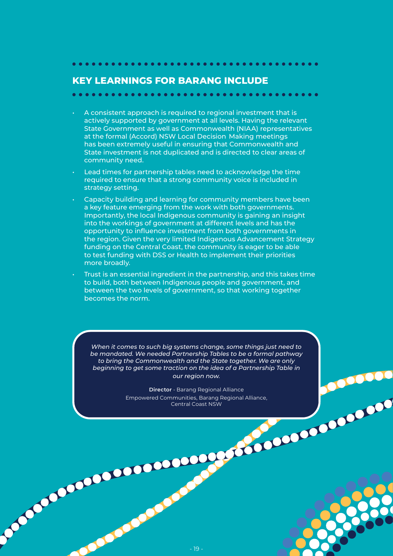<span id="page-18-0"></span>

#### **KEY LEARNINGS FOR BARANG INCLUDE**

- at the formal (Accord) NSW Local Decision Making meetings A consistent approach is required to regional investment that is actively supported by government at all levels. Having the relevant State Government as well as Commonwealth (NIAA) representatives has been extremely useful in ensuring that Commonwealth and State investment is not duplicated and is directed to clear areas of community need.
- Lead times for partnership tables need to acknowledge the time required to ensure that a strong community voice is included in strategy setting.
- Capacity building and learning for community members have been a key feature emerging from the work with both governments. Importantly, the local Indigenous community is gaining an insight into the workings of government at different levels and has the opportunity to influence investment from both governments in the region. Given the very limited Indigenous Advancement Strategy funding on the Central Coast, the community is eager to be able to test funding with DSS or Health to implement their priorities more broadly.
- Trust is an essential ingredient in the partnership, and this takes time to build, both between Indigenous people and government, and between the two levels of government, so that working together becomes the norm.

*When it comes to such big systems change, some things just need to be mandated. We needed Partnership Tables to be a formal pathway to bring the Commonwealth and the State together. We are only beginning to get some traction on the idea of a Partnership Table in our region now.* 

> **Director** - Barang Regional Alliance Empowered Communities, Barang Regional Alliance, Central Coast NSW

**OBSERVE**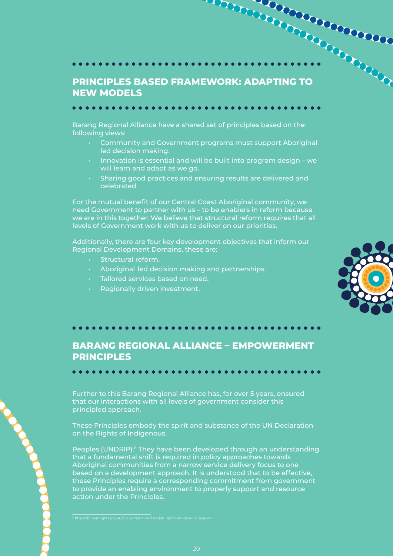# <span id="page-19-0"></span>**PRINCIPLES BASED FRAMEWORK: ADAPTING TO NEW MODELS**

Barang Regional Alliance have a shared set of principles based on the following views:

- • Community and Government programs must support Aboriginal led decision making.
- Innovation is essential and will be built into program design we will learn and adapt as we go.
- • Sharing good practices and ensuring results are delivered and celebrated.

For the mutual benefit of our Central Coast Aboriginal community, we need Government to partner with us – to be enablers in reform because we are in this together. We believe that structural reform requires that all levels of Government work with us to deliver on our priorities.

Additionally, there are four key development objectives that inform our Regional Development Domains, these are:

- **Structural reform.**
- • Aboriginal led decision making and partnerships.
- • Tailored services based on need.
- Regionally driven investment.



#### **BARANG REGIONAL ALLIANCE – EMPOWERMENT PRINCIPLES**

Further to this Barang Regional Alliance has, for over 5 years, ensured that our interactions with all levels of government consider this principled approach.

These Principles embody the spirit and substance of the UN Declaration on the Rights of Indigenous.

Peoples (UNDRIP).<sup>8</sup> They have been developed through an understanding that a fundamental shift is required in policy approaches towards Aboriginal communities from a narrow service delivery focus to one based on a development approach. It is understood that to be effective, these Principles require a corresponding commitment from government to provide an enabling environment to properly support and resource action under the Principles.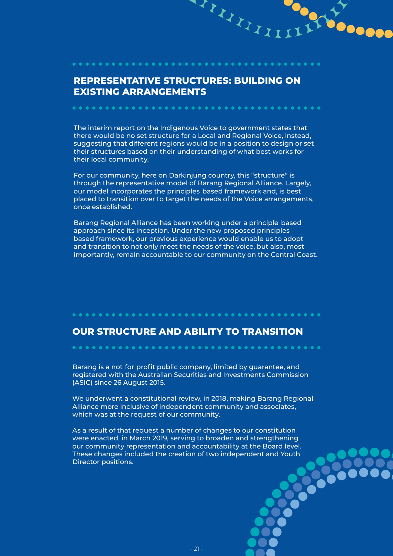#### **REPRESENTATIVE STRUCTURES: BUILDING ON EXISTING ARRANGEMENTS**

<span id="page-20-0"></span>**...............** 

AVANII I

The interim report on the Indigenous Voice to government states that there would be no set structure for a Local and Regional Voice, instead, suggesting that different regions would be in a position to design or set their structures based on their understanding of what best works for their local community.

our model incorporates the principles based framework and, is best For our community, here on Darkinjung country, this "structure" is through the representative model of Barang Regional Alliance. Largely, placed to transition over to target the needs of the Voice arrangements, once established.

- Barang Regional Alliance has been working under a principle based approach since its inception. Under the new proposed principles based framework, our previous experience would enable us to adopt and transition to not only meet the needs of the voice, but also, most importantly, remain accountable to our community on the Central Coast.

#### **OUR STRUCTURE AND ABILITY TO TRANSITION**

......................................

Barang is a not for profit public company, limited by guarantee, and registered with the Australian Securities and Investments Commission (ASIC) since 26 August 2015.

We underwent a constitutional review, in 2018, making Barang Regional Alliance more inclusive of independent community and associates, which was at the request of our community.

As a result of that request a number of changes to our constitution were enacted, in March 2019, serving to broaden and strengthening our community representation and accountability at the Board level. These changes included the creation of two independent and Youth Director positions.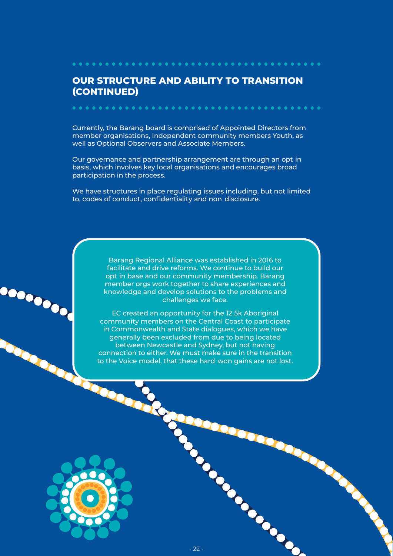#### **OUR STRUCTURE AND ABILITY TO TRANSITION (CONTINUED)**

. . . . . . . . . . . . . . . . .

Currently, the Barang board is comprised of Appointed Directors from member organisations, Independent community members Youth, as well as Optional Observers and Associate Members.

Our governance and partnership arrangement are through an opt in basis, which involves key local organisations and encourages broad participation in the process.

- to, codes of conduct, confidentiality and non disclosure. We have structures in place regulating issues including, but not limited

> opt in base and our community membership. Barang Barang Regional Alliance was established in 2016 to facilitate and drive reforms. We continue to build our member orgs work together to share experiences and knowledge and develop solutions to the problems and challenges we face.

to the Voice model, that these hard won gains are not lost. EC created an opportunity for the 12.5k Aboriginal community members on the Central Coast to participate in Commonwealth and State dialogues, which we have generally been excluded from due to being located between Newcastle and Sydney, but not having connection to either. We must make sure in the transition

**CONSTRUCTION**